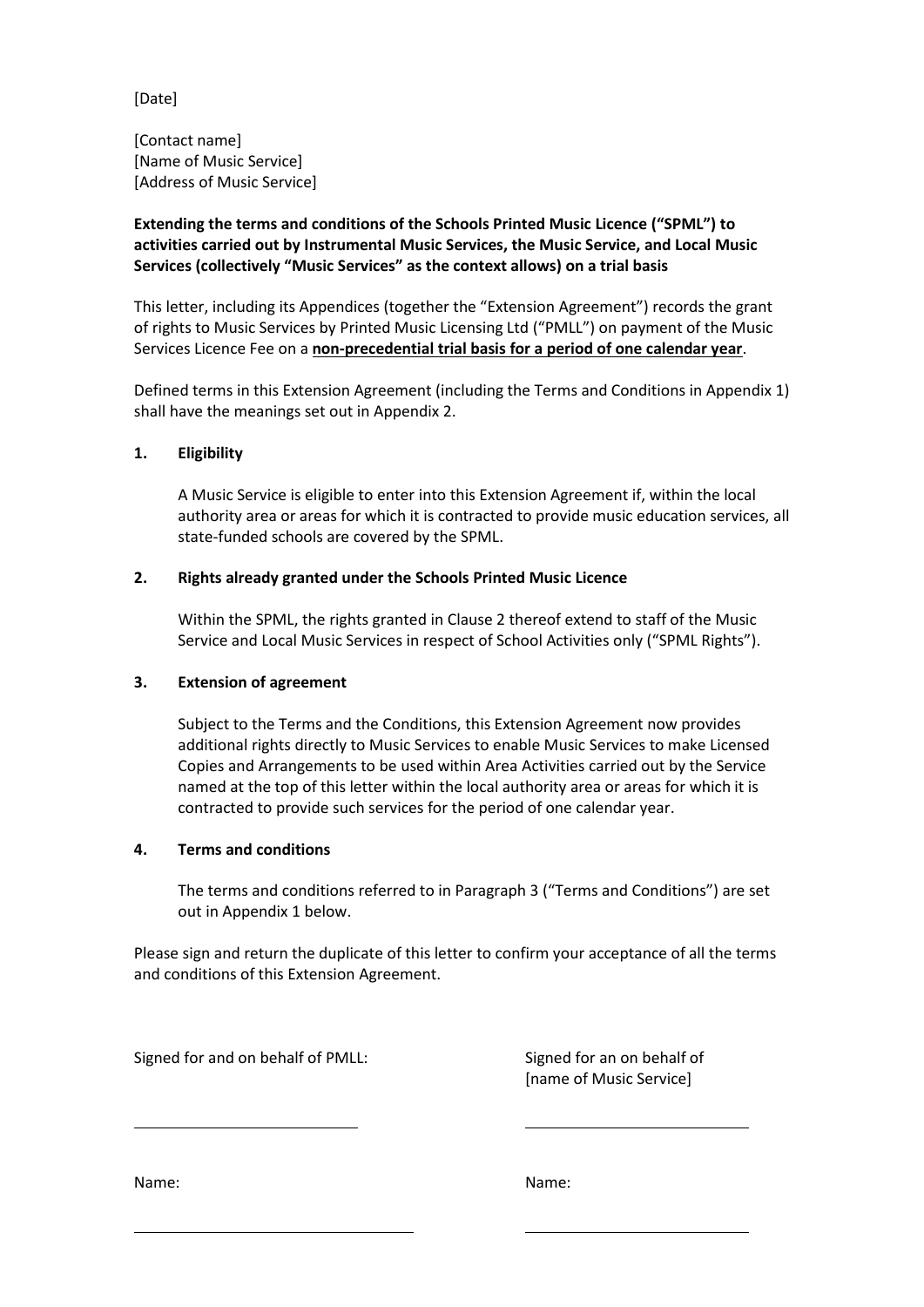[Date]

[Contact name] [Name of Music Service] [Address of Music Service]

# **Extending the terms and conditions of the Schools Printed Music Licence ("SPML") to activities carried out by Instrumental Music Services, the Music Service, and Local Music Services (collectively "Music Services" as the context allows) on a trial basis**

This letter, including its Appendices (together the "Extension Agreement") records the grant of rights to Music Services by Printed Music Licensing Ltd ("PMLL") on payment of the Music Services Licence Fee on a **non-precedential trial basis for a period of one calendar year**.

Defined terms in this Extension Agreement (including the Terms and Conditions in Appendix 1) shall have the meanings set out in Appendix 2.

## **1. Eligibility**

A Music Service is eligible to enter into this Extension Agreement if, within the local authority area or areas for which it is contracted to provide music education services, all state-funded schools are covered by the SPML.

## **2. Rights already granted under the Schools Printed Music Licence**

Within the SPML, the rights granted in Clause 2 thereof extend to staff of the Music Service and Local Music Services in respect of School Activities only ("SPML Rights").

### **3. Extension of agreement**

Subject to the Terms and the Conditions, this Extension Agreement now provides additional rights directly to Music Services to enable Music Services to make Licensed Copies and Arrangements to be used within Area Activities carried out by the Service named at the top of this letter within the local authority area or areas for which it is contracted to provide such services for the period of one calendar year.

### **4. Terms and conditions**

The terms and conditions referred to in Paragraph 3 ("Terms and Conditions") are set out in Appendix 1 below.

Please sign and return the duplicate of this letter to confirm your acceptance of all the terms and conditions of this Extension Agreement.

Signed for and on behalf of PMLL: Signed for an on behalf of

[name of Music Service]

Name: Name: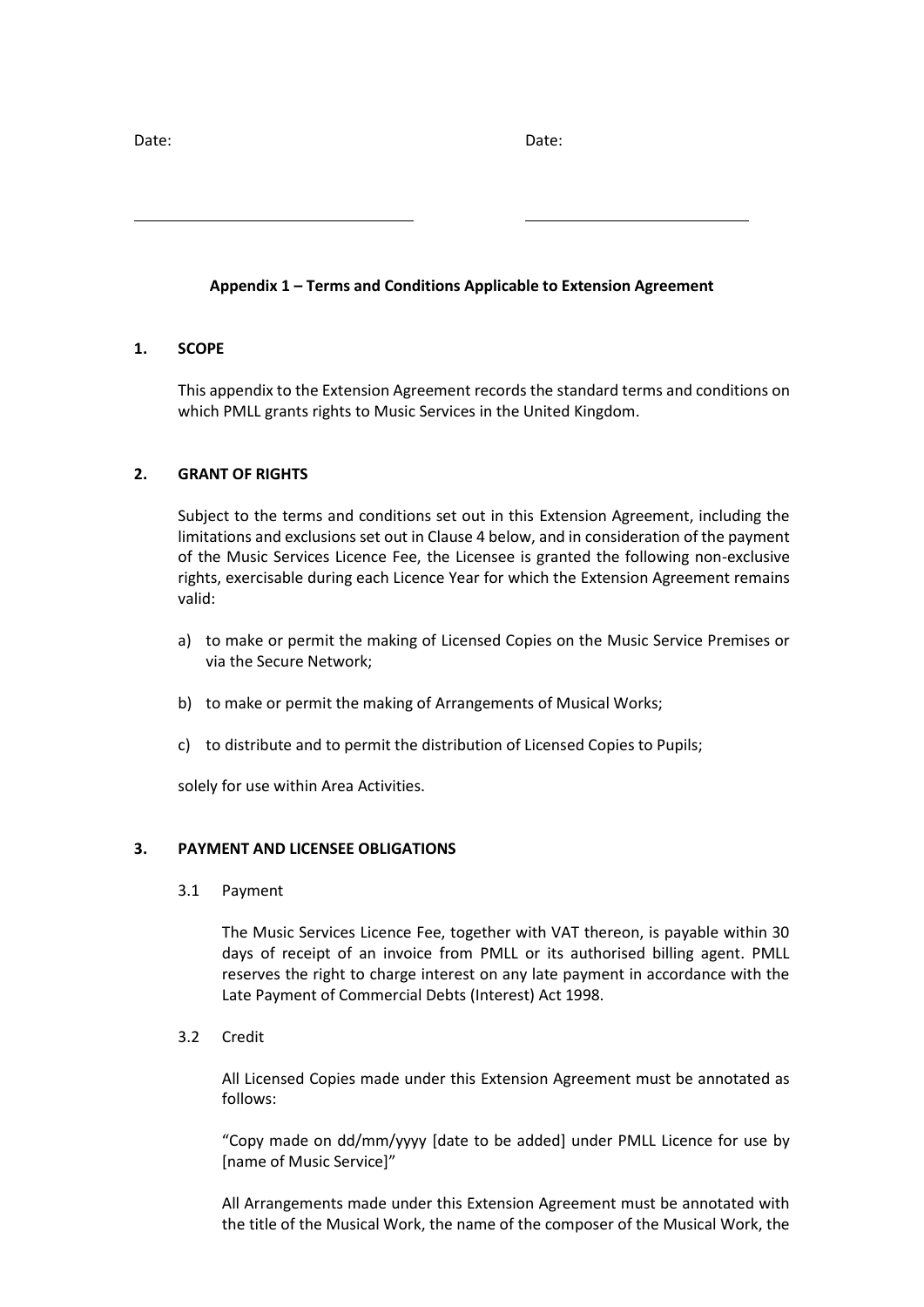Date: Date:

# **Appendix 1 – Terms and Conditions Applicable to Extension Agreement**

## **1. SCOPE**

This appendix to the Extension Agreement records the standard terms and conditions on which PMLL grants rights to Music Services in the United Kingdom.

# **2. GRANT OF RIGHTS**

Subject to the terms and conditions set out in this Extension Agreement, including the limitations and exclusions set out in Clause 4 below, and in consideration of the payment of the Music Services Licence Fee, the Licensee is granted the following non-exclusive rights, exercisable during each Licence Year for which the Extension Agreement remains valid:

- a) to make or permit the making of Licensed Copies on the Music Service Premises or via the Secure Network;
- b) to make or permit the making of Arrangements of Musical Works;
- c) to distribute and to permit the distribution of Licensed Copies to Pupils;

solely for use within Area Activities.

### **3. PAYMENT AND LICENSEE OBLIGATIONS**

3.1 Payment

The Music Services Licence Fee, together with VAT thereon, is payable within 30 days of receipt of an invoice from PMLL or its authorised billing agent. PMLL reserves the right to charge interest on any late payment in accordance with the Late Payment of Commercial Debts (Interest) Act 1998.

3.2 Credit

All Licensed Copies made under this Extension Agreement must be annotated as follows:

"Copy made on dd/mm/yyyy [date to be added] under PMLL Licence for use by [name of Music Service]"

All Arrangements made under this Extension Agreement must be annotated with the title of the Musical Work, the name of the composer of the Musical Work, the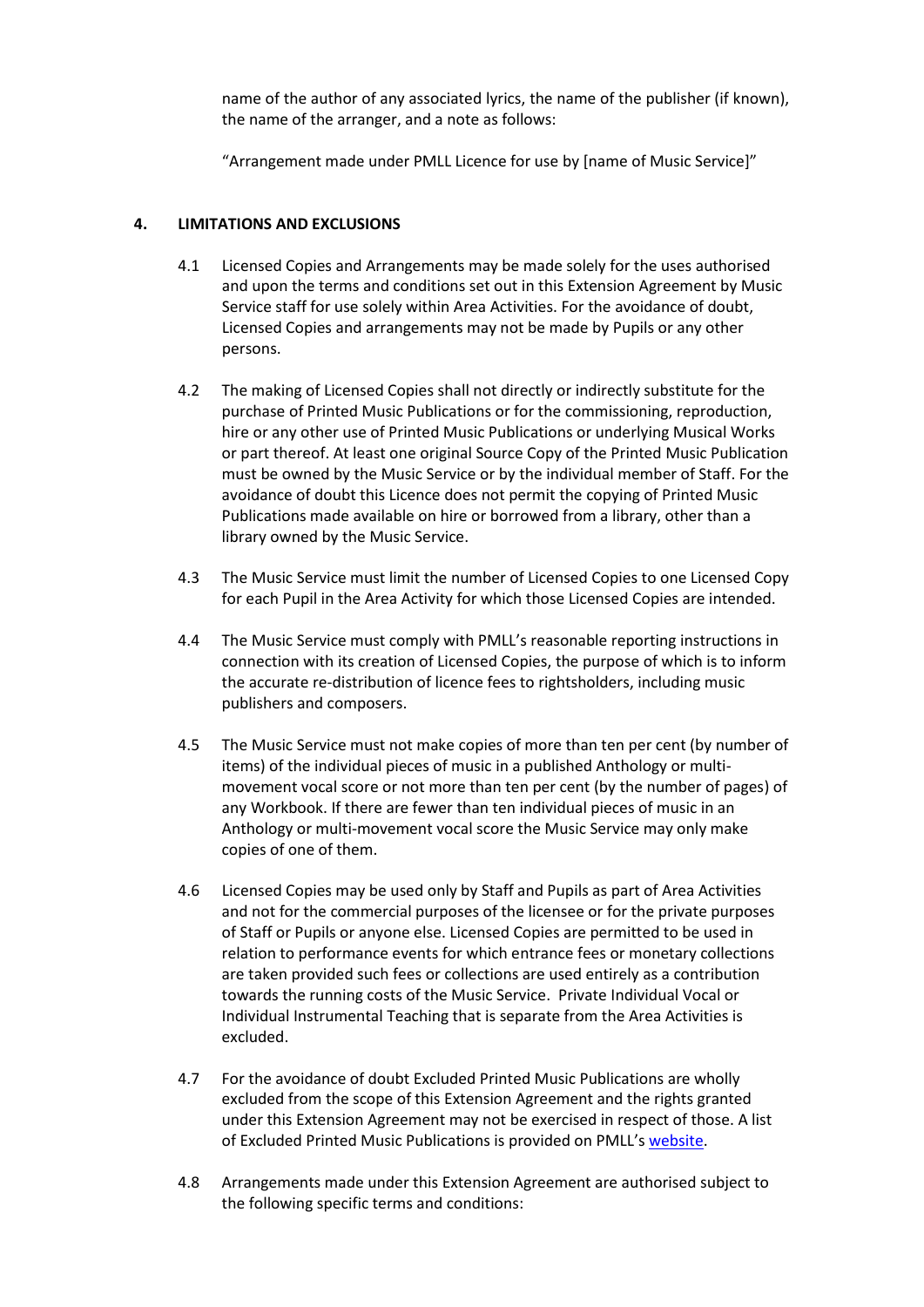name of the author of any associated lyrics, the name of the publisher (if known), the name of the arranger, and a note as follows:

"Arrangement made under PMLL Licence for use by [name of Music Service]"

## **4. LIMITATIONS AND EXCLUSIONS**

- 4.1 Licensed Copies and Arrangements may be made solely for the uses authorised and upon the terms and conditions set out in this Extension Agreement by Music Service staff for use solely within Area Activities. For the avoidance of doubt, Licensed Copies and arrangements may not be made by Pupils or any other persons.
- 4.2 The making of Licensed Copies shall not directly or indirectly substitute for the purchase of Printed Music Publications or for the commissioning, reproduction, hire or any other use of Printed Music Publications or underlying Musical Works or part thereof. At least one original Source Copy of the Printed Music Publication must be owned by the Music Service or by the individual member of Staff. For the avoidance of doubt this Licence does not permit the copying of Printed Music Publications made available on hire or borrowed from a library, other than a library owned by the Music Service.
- 4.3 The Music Service must limit the number of Licensed Copies to one Licensed Copy for each Pupil in the Area Activity for which those Licensed Copies are intended.
- 4.4 The Music Service must comply with PMLL's reasonable reporting instructions in connection with its creation of Licensed Copies, the purpose of which is to inform the accurate re-distribution of licence fees to rightsholders, including music publishers and composers.
- 4.5 The Music Service must not make copies of more than ten per cent (by number of items) of the individual pieces of music in a published Anthology or multimovement vocal score or not more than ten per cent (by the number of pages) of any Workbook. If there are fewer than ten individual pieces of music in an Anthology or multi-movement vocal score the Music Service may only make copies of one of them.
- 4.6 Licensed Copies may be used only by Staff and Pupils as part of Area Activities and not for the commercial purposes of the licensee or for the private purposes of Staff or Pupils or anyone else. Licensed Copies are permitted to be used in relation to performance events for which entrance fees or monetary collections are taken provided such fees or collections are used entirely as a contribution towards the running costs of the Music Service. Private Individual Vocal or Individual Instrumental Teaching that is separate from the Area Activities is excluded.
- 4.7 For the avoidance of doubt Excluded Printed Music Publications are wholly excluded from the scope of this Extension Agreement and the rights granted under this Extension Agreement may not be exercised in respect of those. A list of Excluded Printed Music Publications is provided on PMLL's [website.](https://www.cla.co.uk/schools-printed-music-licence)
- 4.8 Arrangements made under this Extension Agreement are authorised subject to the following specific terms and conditions: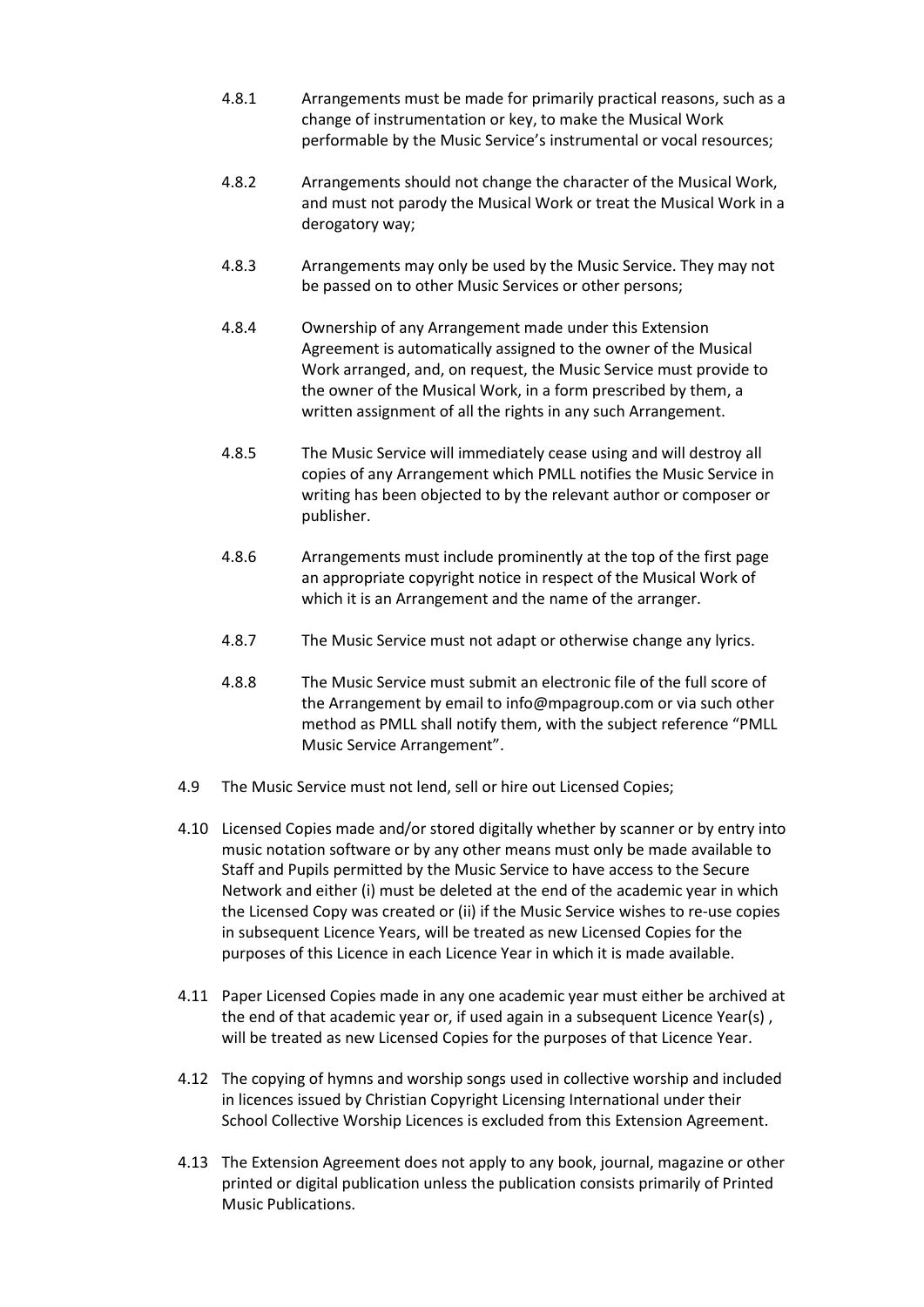- 4.8.1 Arrangements must be made for primarily practical reasons, such as a change of instrumentation or key, to make the Musical Work performable by the Music Service's instrumental or vocal resources;
- 4.8.2 Arrangements should not change the character of the Musical Work, and must not parody the Musical Work or treat the Musical Work in a derogatory way;
- 4.8.3 Arrangements may only be used by the Music Service. They may not be passed on to other Music Services or other persons;
- 4.8.4 Ownership of any Arrangement made under this Extension Agreement is automatically assigned to the owner of the Musical Work arranged, and, on request, the Music Service must provide to the owner of the Musical Work, in a form prescribed by them, a written assignment of all the rights in any such Arrangement.
- 4.8.5 The Music Service will immediately cease using and will destroy all copies of any Arrangement which PMLL notifies the Music Service in writing has been objected to by the relevant author or composer or publisher.
- 4.8.6 Arrangements must include prominently at the top of the first page an appropriate copyright notice in respect of the Musical Work of which it is an Arrangement and the name of the arranger.
- 4.8.7 The Music Service must not adapt or otherwise change any lyrics.
- 4.8.8 The Music Service must submit an electronic file of the full score of the Arrangement by email to info@mpagroup.com or via such other method as PMLL shall notify them, with the subject reference "PMLL Music Service Arrangement".
- 4.9 The Music Service must not lend, sell or hire out Licensed Copies;
- 4.10 Licensed Copies made and/or stored digitally whether by scanner or by entry into music notation software or by any other means must only be made available to Staff and Pupils permitted by the Music Service to have access to the Secure Network and either (i) must be deleted at the end of the academic year in which the Licensed Copy was created or (ii) if the Music Service wishes to re-use copies in subsequent Licence Years, will be treated as new Licensed Copies for the purposes of this Licence in each Licence Year in which it is made available.
- 4.11 Paper Licensed Copies made in any one academic year must either be archived at the end of that academic year or, if used again in a subsequent Licence Year(s) , will be treated as new Licensed Copies for the purposes of that Licence Year.
- 4.12 The copying of hymns and worship songs used in collective worship and included in licences issued by Christian Copyright Licensing International under their School Collective Worship Licences is excluded from this Extension Agreement.
- 4.13 The Extension Agreement does not apply to any book, journal, magazine or other printed or digital publication unless the publication consists primarily of Printed Music Publications.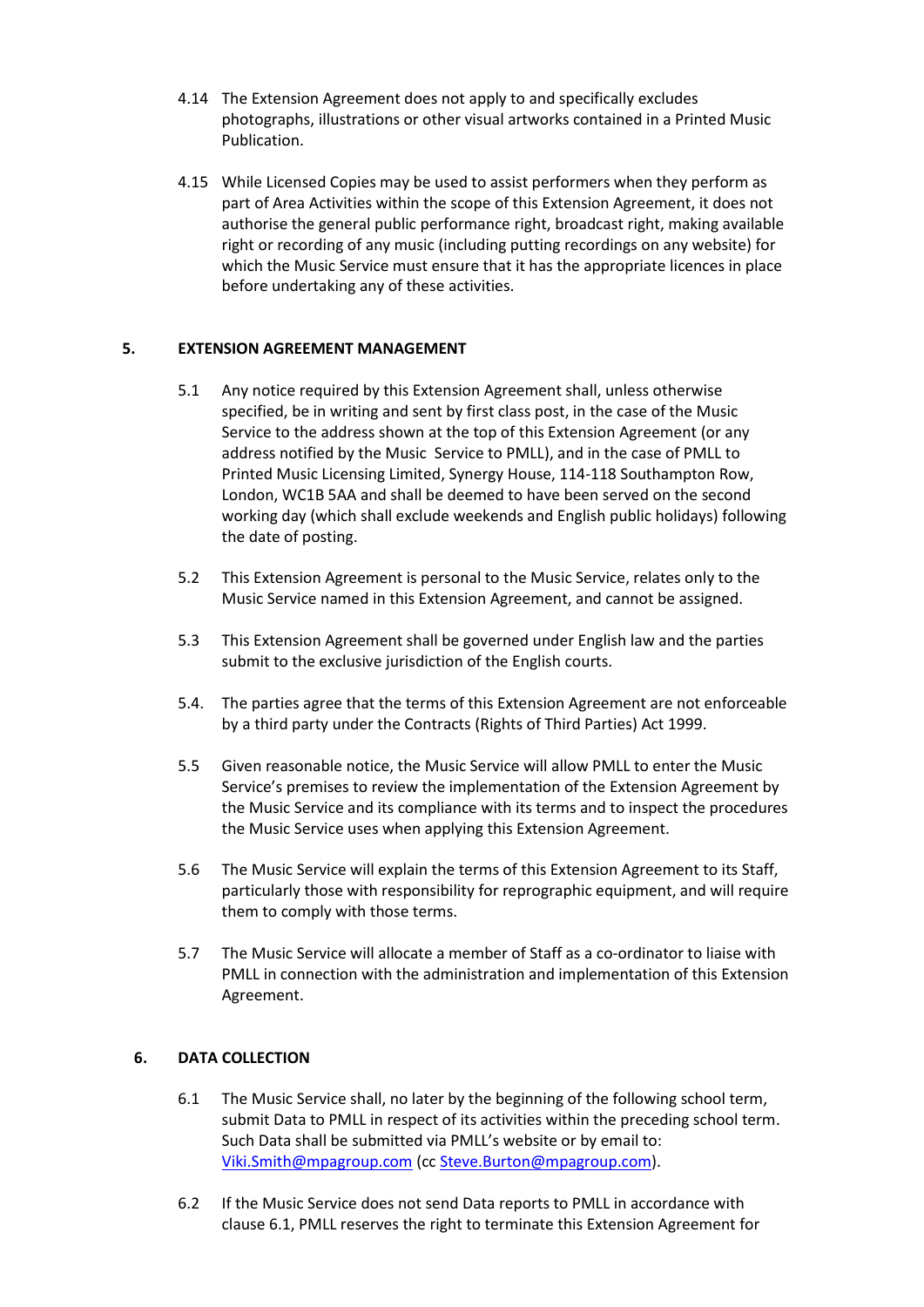- 4.14 The Extension Agreement does not apply to and specifically excludes photographs, illustrations or other visual artworks contained in a Printed Music Publication.
- 4.15 While Licensed Copies may be used to assist performers when they perform as part of Area Activities within the scope of this Extension Agreement, it does not authorise the general public performance right, broadcast right, making available right or recording of any music (including putting recordings on any website) for which the Music Service must ensure that it has the appropriate licences in place before undertaking any of these activities.

## **5. EXTENSION AGREEMENT MANAGEMENT**

- 5.1 Any notice required by this Extension Agreement shall, unless otherwise specified, be in writing and sent by first class post, in the case of the Music Service to the address shown at the top of this Extension Agreement (or any address notified by the Music Service to PMLL), and in the case of PMLL to Printed Music Licensing Limited, Synergy House, 114-118 Southampton Row, London, WC1B 5AA and shall be deemed to have been served on the second working day (which shall exclude weekends and English public holidays) following the date of posting.
- 5.2 This Extension Agreement is personal to the Music Service, relates only to the Music Service named in this Extension Agreement, and cannot be assigned.
- 5.3 This Extension Agreement shall be governed under English law and the parties submit to the exclusive jurisdiction of the English courts.
- 5.4. The parties agree that the terms of this Extension Agreement are not enforceable by a third party under the Contracts (Rights of Third Parties) Act 1999.
- 5.5 Given reasonable notice, the Music Service will allow PMLL to enter the Music Service's premises to review the implementation of the Extension Agreement by the Music Service and its compliance with its terms and to inspect the procedures the Music Service uses when applying this Extension Agreement.
- 5.6 The Music Service will explain the terms of this Extension Agreement to its Staff, particularly those with responsibility for reprographic equipment, and will require them to comply with those terms.
- 5.7 The Music Service will allocate a member of Staff as a co-ordinator to liaise with PMLL in connection with the administration and implementation of this Extension Agreement.

### **6. DATA COLLECTION**

- 6.1 The Music Service shall, no later by the beginning of the following school term, submit Data to PMLL in respect of its activities within the preceding school term. Such Data shall be submitted via PMLL's website or by email to: [Viki.Smith@mpagroup.com](mailto:Viki.Smith@mpagroup.com) (c[c Steve.Burton@mpagroup.com\)](mailto:Steve.Burton@mpagroup.com).
- 6.2 If the Music Service does not send Data reports to PMLL in accordance with clause 6.1, PMLL reserves the right to terminate this Extension Agreement for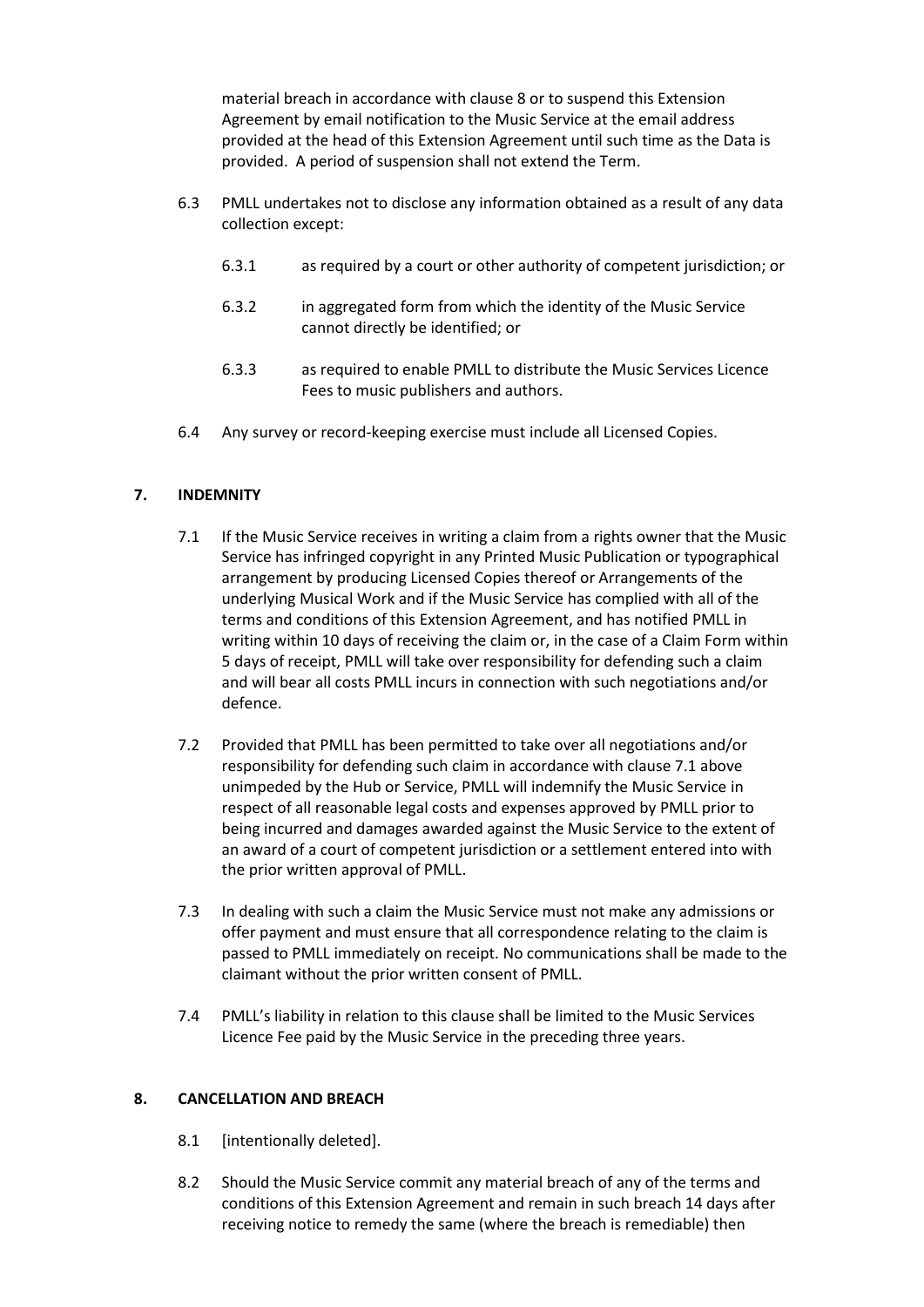material breach in accordance with clause 8 or to suspend this Extension Agreement by email notification to the Music Service at the email address provided at the head of this Extension Agreement until such time as the Data is provided. A period of suspension shall not extend the Term.

- 6.3 PMLL undertakes not to disclose any information obtained as a result of any data collection except:
	- 6.3.1 as required by a court or other authority of competent jurisdiction; or
	- 6.3.2 in aggregated form from which the identity of the Music Service cannot directly be identified; or
	- 6.3.3 as required to enable PMLL to distribute the Music Services Licence Fees to music publishers and authors.
- 6.4 Any survey or record-keeping exercise must include all Licensed Copies.

## **7. INDEMNITY**

- 7.1 If the Music Service receives in writing a claim from a rights owner that the Music Service has infringed copyright in any Printed Music Publication or typographical arrangement by producing Licensed Copies thereof or Arrangements of the underlying Musical Work and if the Music Service has complied with all of the terms and conditions of this Extension Agreement, and has notified PMLL in writing within 10 days of receiving the claim or, in the case of a Claim Form within 5 days of receipt, PMLL will take over responsibility for defending such a claim and will bear all costs PMLL incurs in connection with such negotiations and/or defence.
- 7.2 Provided that PMLL has been permitted to take over all negotiations and/or responsibility for defending such claim in accordance with clause 7.1 above unimpeded by the Hub or Service, PMLL will indemnify the Music Service in respect of all reasonable legal costs and expenses approved by PMLL prior to being incurred and damages awarded against the Music Service to the extent of an award of a court of competent jurisdiction or a settlement entered into with the prior written approval of PMLL.
- 7.3 In dealing with such a claim the Music Service must not make any admissions or offer payment and must ensure that all correspondence relating to the claim is passed to PMLL immediately on receipt. No communications shall be made to the claimant without the prior written consent of PMLL.
- 7.4 PMLL's liability in relation to this clause shall be limited to the Music Services Licence Fee paid by the Music Service in the preceding three years.

### **8. CANCELLATION AND BREACH**

- 8.1 [intentionally deleted].
- 8.2 Should the Music Service commit any material breach of any of the terms and conditions of this Extension Agreement and remain in such breach 14 days after receiving notice to remedy the same (where the breach is remediable) then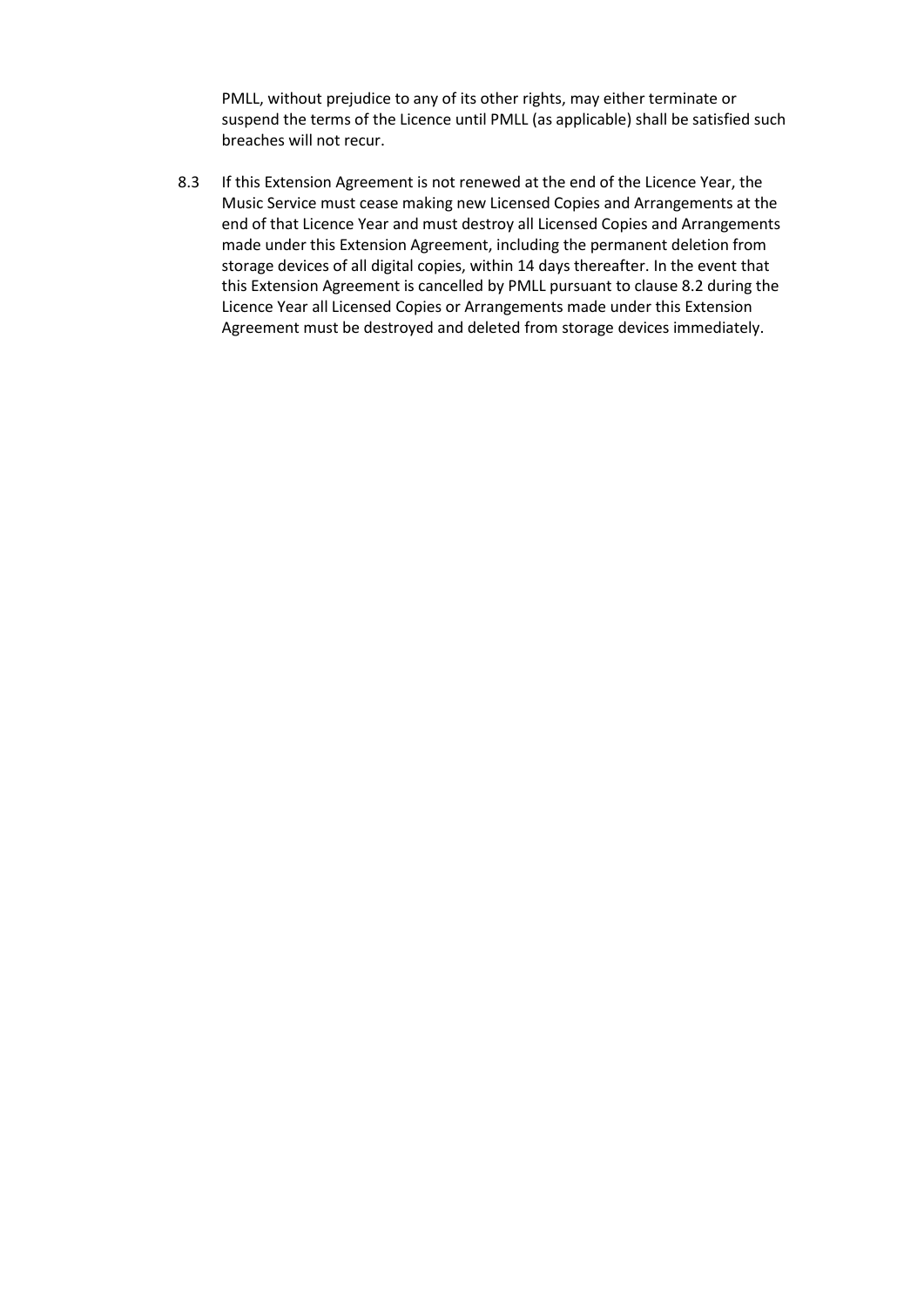PMLL, without prejudice to any of its other rights, may either terminate or suspend the terms of the Licence until PMLL (as applicable) shall be satisfied such breaches will not recur.

8.3 If this Extension Agreement is not renewed at the end of the Licence Year, the Music Service must cease making new Licensed Copies and Arrangements at the end of that Licence Year and must destroy all Licensed Copies and Arrangements made under this Extension Agreement, including the permanent deletion from storage devices of all digital copies, within 14 days thereafter. In the event that this Extension Agreement is cancelled by PMLL pursuant to clause 8.2 during the Licence Year all Licensed Copies or Arrangements made under this Extension Agreement must be destroyed and deleted from storage devices immediately.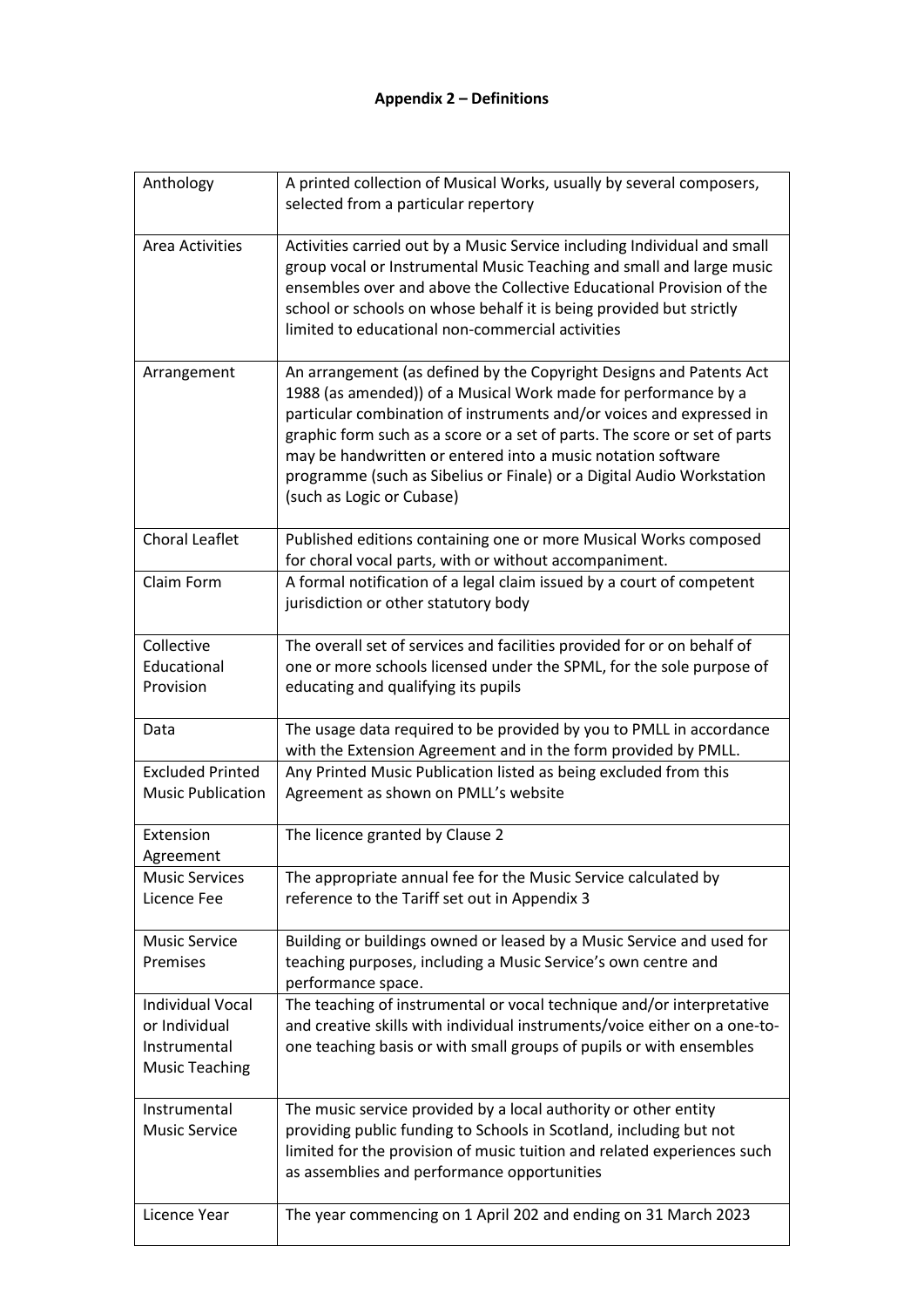| A printed collection of Musical Works, usually by several composers,<br>selected from a particular repertory                                                                                                                                                                                                                                                                                                                                                     |
|------------------------------------------------------------------------------------------------------------------------------------------------------------------------------------------------------------------------------------------------------------------------------------------------------------------------------------------------------------------------------------------------------------------------------------------------------------------|
| Activities carried out by a Music Service including Individual and small<br>group vocal or Instrumental Music Teaching and small and large music<br>ensembles over and above the Collective Educational Provision of the<br>school or schools on whose behalf it is being provided but strictly<br>limited to educational non-commercial activities                                                                                                              |
| An arrangement (as defined by the Copyright Designs and Patents Act<br>1988 (as amended)) of a Musical Work made for performance by a<br>particular combination of instruments and/or voices and expressed in<br>graphic form such as a score or a set of parts. The score or set of parts<br>may be handwritten or entered into a music notation software<br>programme (such as Sibelius or Finale) or a Digital Audio Workstation<br>(such as Logic or Cubase) |
| Published editions containing one or more Musical Works composed<br>for choral vocal parts, with or without accompaniment.                                                                                                                                                                                                                                                                                                                                       |
| A formal notification of a legal claim issued by a court of competent<br>jurisdiction or other statutory body                                                                                                                                                                                                                                                                                                                                                    |
| The overall set of services and facilities provided for or on behalf of                                                                                                                                                                                                                                                                                                                                                                                          |
| one or more schools licensed under the SPML, for the sole purpose of                                                                                                                                                                                                                                                                                                                                                                                             |
| educating and qualifying its pupils                                                                                                                                                                                                                                                                                                                                                                                                                              |
| The usage data required to be provided by you to PMLL in accordance<br>with the Extension Agreement and in the form provided by PMLL.                                                                                                                                                                                                                                                                                                                            |
| Any Printed Music Publication listed as being excluded from this<br>Agreement as shown on PMLL's website                                                                                                                                                                                                                                                                                                                                                         |
| The licence granted by Clause 2                                                                                                                                                                                                                                                                                                                                                                                                                                  |
| The appropriate annual fee for the Music Service calculated by                                                                                                                                                                                                                                                                                                                                                                                                   |
| reference to the Tariff set out in Appendix 3                                                                                                                                                                                                                                                                                                                                                                                                                    |
| Building or buildings owned or leased by a Music Service and used for<br>teaching purposes, including a Music Service's own centre and<br>performance space.                                                                                                                                                                                                                                                                                                     |
| The teaching of instrumental or vocal technique and/or interpretative                                                                                                                                                                                                                                                                                                                                                                                            |
| and creative skills with individual instruments/voice either on a one-to-                                                                                                                                                                                                                                                                                                                                                                                        |
| one teaching basis or with small groups of pupils or with ensembles                                                                                                                                                                                                                                                                                                                                                                                              |
| The music service provided by a local authority or other entity                                                                                                                                                                                                                                                                                                                                                                                                  |
| providing public funding to Schools in Scotland, including but not                                                                                                                                                                                                                                                                                                                                                                                               |
| limited for the provision of music tuition and related experiences such<br>as assemblies and performance opportunities                                                                                                                                                                                                                                                                                                                                           |
| The year commencing on 1 April 202 and ending on 31 March 2023                                                                                                                                                                                                                                                                                                                                                                                                   |
|                                                                                                                                                                                                                                                                                                                                                                                                                                                                  |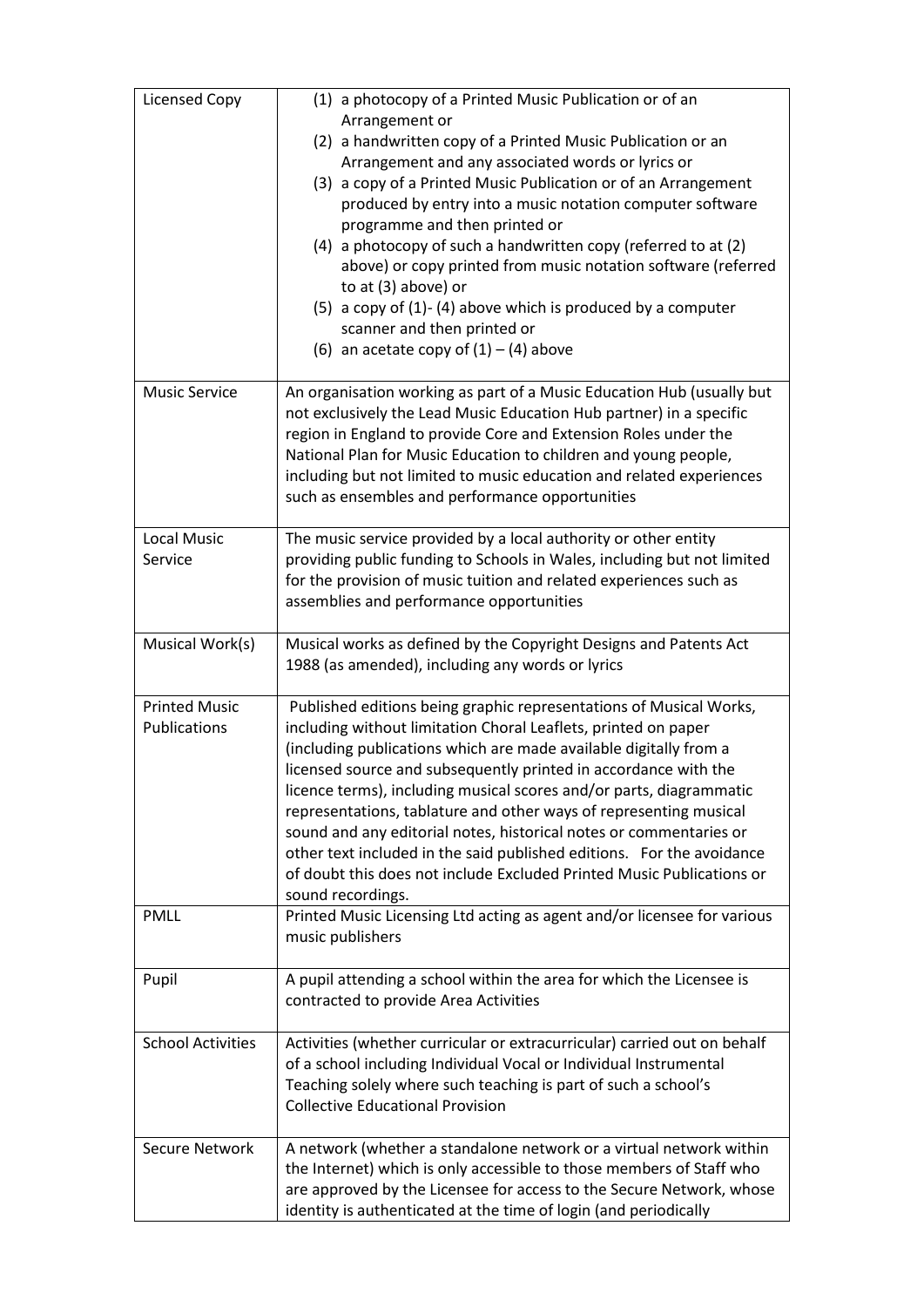| Licensed Copy                        | (1) a photocopy of a Printed Music Publication or of an<br>Arrangement or<br>(2) a handwritten copy of a Printed Music Publication or an<br>Arrangement and any associated words or lyrics or<br>(3) a copy of a Printed Music Publication or of an Arrangement<br>produced by entry into a music notation computer software<br>programme and then printed or<br>(4) a photocopy of such a handwritten copy (referred to at (2)<br>above) or copy printed from music notation software (referred<br>to at (3) above) or<br>(5) a copy of $(1)$ - $(4)$ above which is produced by a computer<br>scanner and then printed or<br>(6) an acetate copy of $(1) - (4)$ above |  |
|--------------------------------------|-------------------------------------------------------------------------------------------------------------------------------------------------------------------------------------------------------------------------------------------------------------------------------------------------------------------------------------------------------------------------------------------------------------------------------------------------------------------------------------------------------------------------------------------------------------------------------------------------------------------------------------------------------------------------|--|
| <b>Music Service</b>                 | An organisation working as part of a Music Education Hub (usually but<br>not exclusively the Lead Music Education Hub partner) in a specific<br>region in England to provide Core and Extension Roles under the<br>National Plan for Music Education to children and young people,<br>including but not limited to music education and related experiences<br>such as ensembles and performance opportunities                                                                                                                                                                                                                                                           |  |
| <b>Local Music</b><br>Service        | The music service provided by a local authority or other entity<br>providing public funding to Schools in Wales, including but not limited<br>for the provision of music tuition and related experiences such as<br>assemblies and performance opportunities                                                                                                                                                                                                                                                                                                                                                                                                            |  |
| Musical Work(s)                      | Musical works as defined by the Copyright Designs and Patents Act<br>1988 (as amended), including any words or lyrics                                                                                                                                                                                                                                                                                                                                                                                                                                                                                                                                                   |  |
| <b>Printed Music</b><br>Publications | Published editions being graphic representations of Musical Works,<br>including without limitation Choral Leaflets, printed on paper<br>(including publications which are made available digitally from a<br>licensed source and subsequently printed in accordance with the<br>licence terms), including musical scores and/or parts, diagrammatic<br>representations, tablature and other ways of representing musical<br>sound and any editorial notes, historical notes or commentaries or<br>other text included in the said published editions. For the avoidance<br>of doubt this does not include Excluded Printed Music Publications or<br>sound recordings.   |  |
| <b>PMLL</b>                          | Printed Music Licensing Ltd acting as agent and/or licensee for various<br>music publishers                                                                                                                                                                                                                                                                                                                                                                                                                                                                                                                                                                             |  |
| Pupil                                | A pupil attending a school within the area for which the Licensee is<br>contracted to provide Area Activities                                                                                                                                                                                                                                                                                                                                                                                                                                                                                                                                                           |  |
| <b>School Activities</b>             | Activities (whether curricular or extracurricular) carried out on behalf<br>of a school including Individual Vocal or Individual Instrumental<br>Teaching solely where such teaching is part of such a school's<br><b>Collective Educational Provision</b>                                                                                                                                                                                                                                                                                                                                                                                                              |  |
| <b>Secure Network</b>                | A network (whether a standalone network or a virtual network within<br>the Internet) which is only accessible to those members of Staff who<br>are approved by the Licensee for access to the Secure Network, whose<br>identity is authenticated at the time of login (and periodically                                                                                                                                                                                                                                                                                                                                                                                 |  |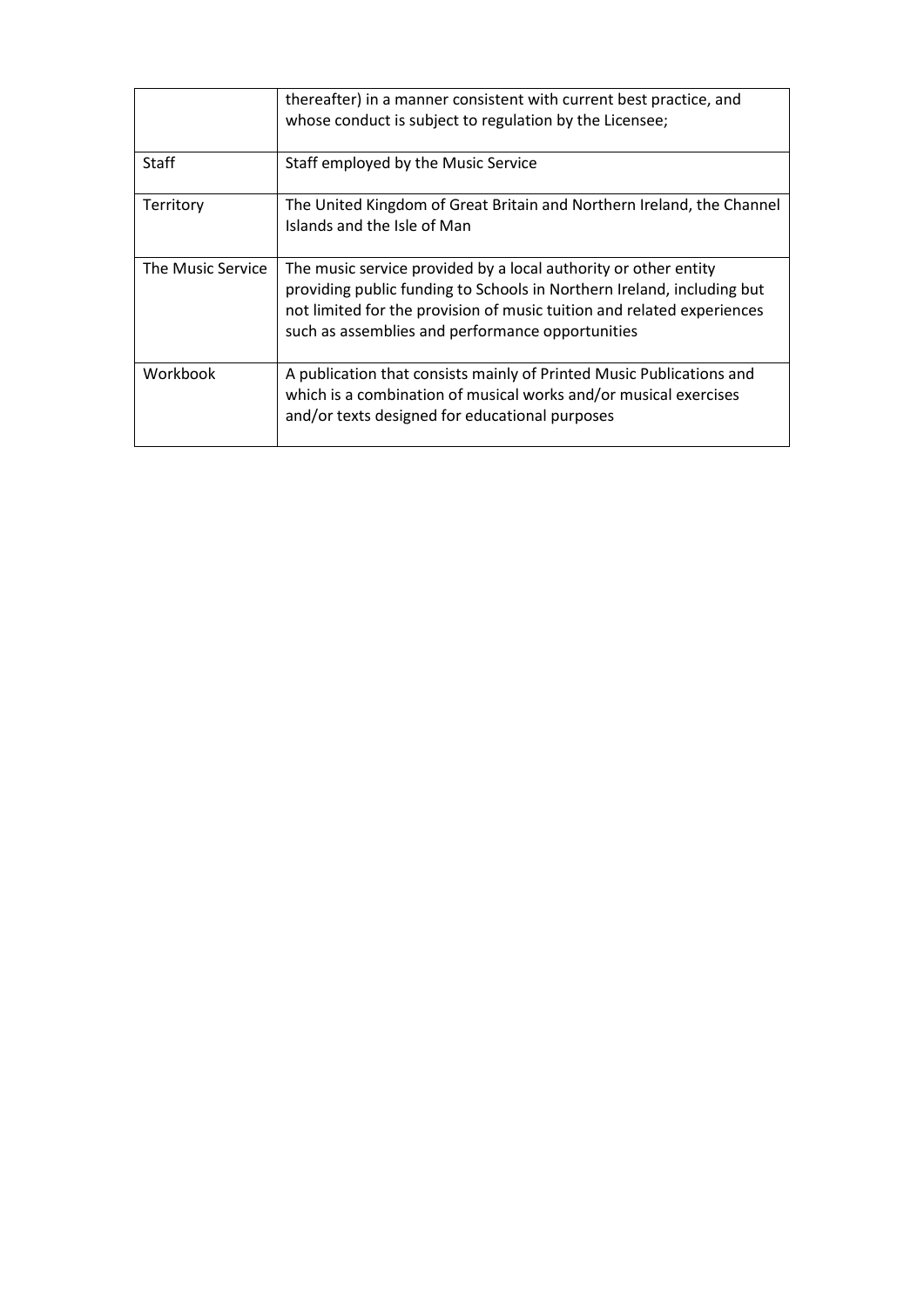|                   | thereafter) in a manner consistent with current best practice, and<br>whose conduct is subject to regulation by the Licensee;                                                                                                                                           |
|-------------------|-------------------------------------------------------------------------------------------------------------------------------------------------------------------------------------------------------------------------------------------------------------------------|
| Staff             | Staff employed by the Music Service                                                                                                                                                                                                                                     |
| Territory         | The United Kingdom of Great Britain and Northern Ireland, the Channel<br>Islands and the Isle of Man                                                                                                                                                                    |
| The Music Service | The music service provided by a local authority or other entity<br>providing public funding to Schools in Northern Ireland, including but<br>not limited for the provision of music tuition and related experiences<br>such as assemblies and performance opportunities |
| Workbook          | A publication that consists mainly of Printed Music Publications and<br>which is a combination of musical works and/or musical exercises<br>and/or texts designed for educational purposes                                                                              |